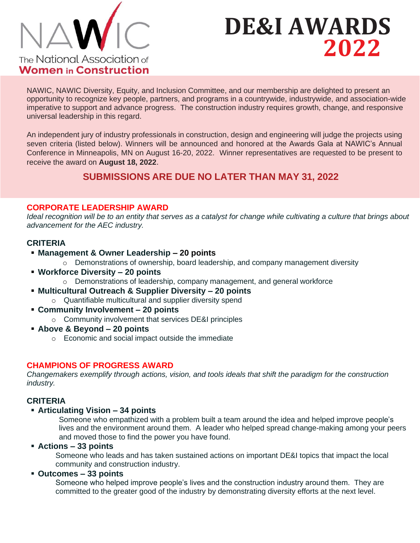

# **DE&I AWARDS 2022**

NAWIC, NAWIC Diversity, Equity, and Inclusion Committee, and our membership are delighted to present an opportunity to recognize key people, partners, and programs in a countrywide, industrywide, and association-wide imperative to support and advance progress. The construction industry requires growth, change, and responsive universal leadership in this regard.

An independent jury of industry professionals in construction, design and engineering will judge the projects using seven criteria (listed below). Winners will be announced and honored at the Awards Gala at NAWIC's Annual Conference in Minneapolis, MN on August 16-20, 2022. Winner representatives are requested to be present to receive the award on **August 18, 2022**.

# **SUBMISSIONS ARE DUE NO LATER THAN MAY 31, 2022**

# **CORPORATE LEADERSHIP AWARD**

*Ideal recognition will be to an entity that serves as a catalyst for change while cultivating a culture that brings about advancement for the AEC industry.*

# **CRITERIA**

- **Management & Owner Leadership – 20 points**
	- o Demonstrations of ownership, board leadership, and company management diversity
- **Workforce Diversity – 20 points**
	- o Demonstrations of leadership, company management, and general workforce
- **Multicultural Outreach & Supplier Diversity – 20 points**
	- o Quantifiable multicultural and supplier diversity spend
- **Community Involvement – 20 points** 
	- o Community involvement that services DE&I principles
- **Above & Beyond – 20 points**
	- o Economic and social impact outside the immediate

# **CHAMPIONS OF PROGRESS AWARD**

*Changemakers exemplify through actions, vision, and tools ideals that shift the paradigm for the construction industry.*

# **CRITERIA**

#### ▪ **Articulating Vision – 34 points**

Someone who empathized with a problem built a team around the idea and helped improve people's lives and the environment around them. A leader who helped spread change-making among your peers and moved those to find the power you have found.

#### ▪ **Actions – 33 points**

Someone who leads and has taken sustained actions on important DE&I topics that impact the local community and construction industry.

#### ▪ **Outcomes – 33 points**

Someone who helped improve people's lives and the construction industry around them. They are committed to the greater good of the industry by demonstrating diversity efforts at the next level.